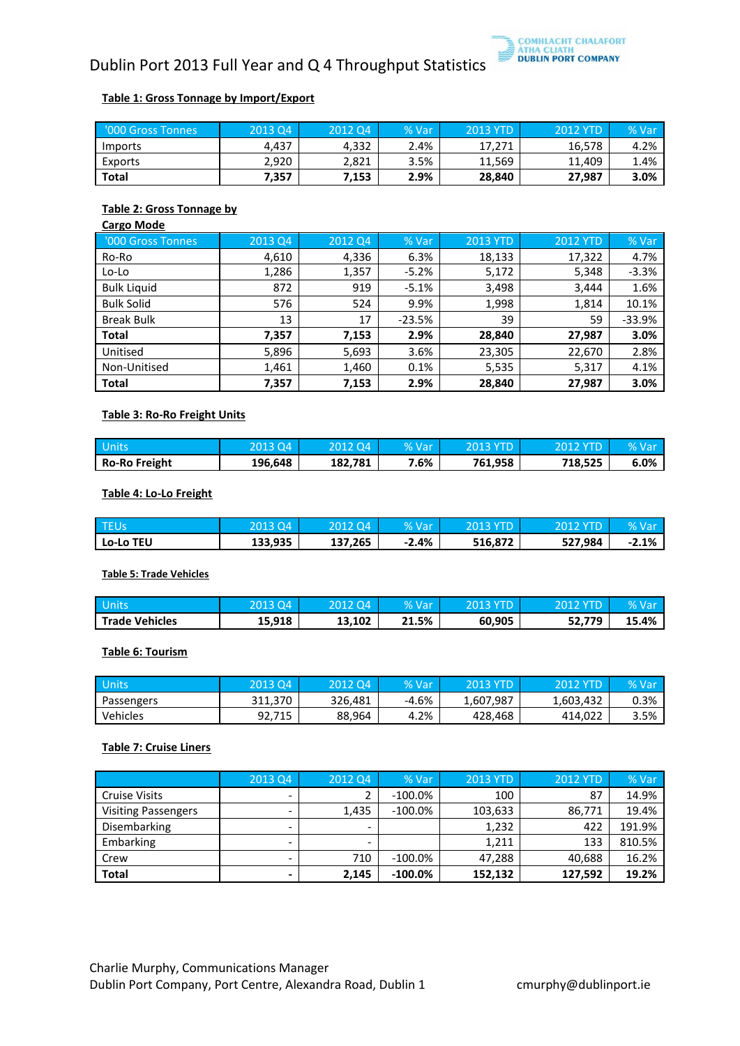

# Dublin Port 2013 Full Year and Q 4 Throughput Statistics

### **Table 1: Gross Tonnage by Import/Export**

| '000 Gross Tonnes | 2013 Q4 | 2012 Q4 | % Varı | <b>2013 YTD</b> | <b>2012 YTD</b> | % Var |
|-------------------|---------|---------|--------|-----------------|-----------------|-------|
| <i>Imports</i>    | 4.437   | 4.332   | 2.4%   | 17,271          | 16,578          | 4.2%  |
| Exports           | 2.920   | 2.821   | 3.5%   | 11.569          | 11.409          | 1.4%  |
| Total             | 7.357   | 7,153   | 2.9%   | 28,840          | 27,987          | 3.0%  |

#### **Table 2: Gross Tonnage by**

| <b>Cargo Mode</b>  |         |         |          |                 |                 |          |
|--------------------|---------|---------|----------|-----------------|-----------------|----------|
| '000 Gross Tonnes  | 2013 Q4 | 2012 Q4 | % Var    | <b>2013 YTD</b> | <b>2012 YTD</b> | % Var    |
| Ro-Ro              | 4,610   | 4,336   | 6.3%     | 18,133          | 17,322          | 4.7%     |
| Lo-Lo              | 1,286   | 1,357   | $-5.2%$  | 5,172           | 5,348           | $-3.3%$  |
| <b>Bulk Liquid</b> | 872     | 919     | $-5.1%$  | 3,498           | 3,444           | 1.6%     |
| <b>Bulk Solid</b>  | 576     | 524     | 9.9%     | 1,998           | 1,814           | 10.1%    |
| <b>Break Bulk</b>  | 13      | 17      | $-23.5%$ | 39              | 59              | $-33.9%$ |
| <b>Total</b>       | 7,357   | 7,153   | 2.9%     | 28,840          | 27,987          | 3.0%     |
| Unitised           | 5,896   | 5,693   | 3.6%     | 23,305          | 22,670          | 2.8%     |
| Non-Unitised       | 1,461   | 1,460   | 0.1%     | 5,535           | 5,317           | 4.1%     |
| <b>Total</b>       | 7,357   | 7,153   | 2.9%     | 28,840          | 27,987          | 3.0%     |

## **Table 3: Ro-Ro Freight Units**

| <b>Units</b>         | 2013.04 | 2012 Q4. | % Var | 2013 YTD | <b>2012 YTD</b> | $%$ Val |
|----------------------|---------|----------|-------|----------|-----------------|---------|
| <b>Ro-Ro Freight</b> | 196,648 | 182.781  | 7.6%  | 761,958  | 718,525         | 6.0%    |

#### **Table 4: Lo-Lo Freight**

| . TEUs           | .3 Q4   |         | % Var   | 2013<br>.YTD | VTD.    |         |
|------------------|---------|---------|---------|--------------|---------|---------|
| <b>Lo-Lo TEU</b> | 133,935 | 137,265 | $-2.4%$ | 516,872      | 527,984 | $-2.1%$ |

#### **Table 5: Trade Vehicles**

| . Units               | 3 Q4<br>201 |        | % Var       | $\sqrt{01}$ | <b>YTD</b> | $\%$ ) |
|-----------------------|-------------|--------|-------------|-------------|------------|--------|
| <b>Trade Vehicles</b> | 15,918      | 13,102 | 21.5%<br>71 | 60,905      | 52,779     | 15.4%  |

#### **Table 6: Tourism**

| <b>Units</b> | 2013 Q4 | 2012 Q4' | % Var   | 2013 YTD  | 2012 YTD  | % Var |
|--------------|---------|----------|---------|-----------|-----------|-------|
| Passengers   | 311.370 | 326.481  | $-4.6%$ | 1.607.987 | 1,603,432 | 0.3%  |
| Vehicles     | 92.715  | 88,964   | 4.2%    | 428.468   | 414,022   | 3.5%  |

# **Table 7: Cruise Liners**

|                            | 2013 Q4                  | 2012 Q4 | % Var      | 2013 YTD | <b>2012 YTD</b> | % Var  |
|----------------------------|--------------------------|---------|------------|----------|-----------------|--------|
| <b>Cruise Visits</b>       | $\overline{\phantom{a}}$ |         | $-100.0\%$ | 100      | 87              | 14.9%  |
| <b>Visiting Passengers</b> | -                        | 1,435   | $-100.0\%$ | 103,633  | 86,771          | 19.4%  |
| Disembarking               | $\overline{\phantom{a}}$ |         |            | 1,232    | 422             | 191.9% |
| Embarking                  | $\overline{\phantom{a}}$ | -       |            | 1,211    | 133             | 810.5% |
| Crew                       |                          | 710     | $-100.0\%$ | 47,288   | 40,688          | 16.2%  |
| <b>Total</b>               | -                        | 2.145   | $-100.0\%$ | 152,132  | 127,592         | 19.2%  |